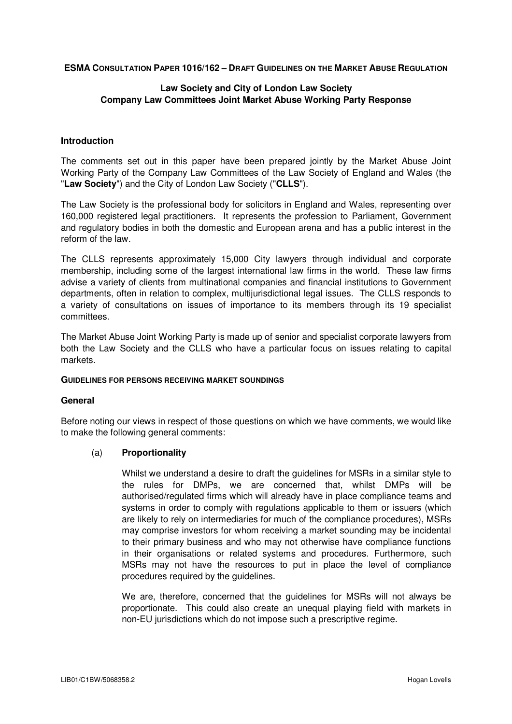**ESMA CONSULTATION PAPER 1016/162 – DRAFT GUIDELINES ON THE MARKET ABUSE REGULATION**

## **Law Society and City of London Law Society Company Law Committees Joint Market Abuse Working Party Response**

#### **Introduction**

The comments set out in this paper have been prepared jointly by the Market Abuse Joint Working Party of the Company Law Committees of the Law Society of England and Wales (the "**Law Society**") and the City of London Law Society ("**CLLS**").

The Law Society is the professional body for solicitors in England and Wales, representing over 160,000 registered legal practitioners. It represents the profession to Parliament, Government and regulatory bodies in both the domestic and European arena and has a public interest in the reform of the law.

The CLLS represents approximately 15,000 City lawyers through individual and corporate membership, including some of the largest international law firms in the world. These law firms advise a variety of clients from multinational companies and financial institutions to Government departments, often in relation to complex, multijurisdictional legal issues. The CLLS responds to a variety of consultations on issues of importance to its members through its 19 specialist committees.

The Market Abuse Joint Working Party is made up of senior and specialist corporate lawyers from both the Law Society and the CLLS who have a particular focus on issues relating to capital markets.

#### **GUIDELINES FOR PERSONS RECEIVING MARKET SOUNDINGS**

#### **General**

Before noting our views in respect of those questions on which we have comments, we would like to make the following general comments:

#### (a) **Proportionality**

Whilst we understand a desire to draft the guidelines for MSRs in a similar style to the rules for DMPs, we are concerned that, whilst DMPs will be authorised/regulated firms which will already have in place compliance teams and systems in order to comply with regulations applicable to them or issuers (which are likely to rely on intermediaries for much of the compliance procedures), MSRs may comprise investors for whom receiving a market sounding may be incidental to their primary business and who may not otherwise have compliance functions in their organisations or related systems and procedures. Furthermore, such MSRs may not have the resources to put in place the level of compliance procedures required by the guidelines.

We are, therefore, concerned that the guidelines for MSRs will not always be proportionate. This could also create an unequal playing field with markets in non-EU jurisdictions which do not impose such a prescriptive regime.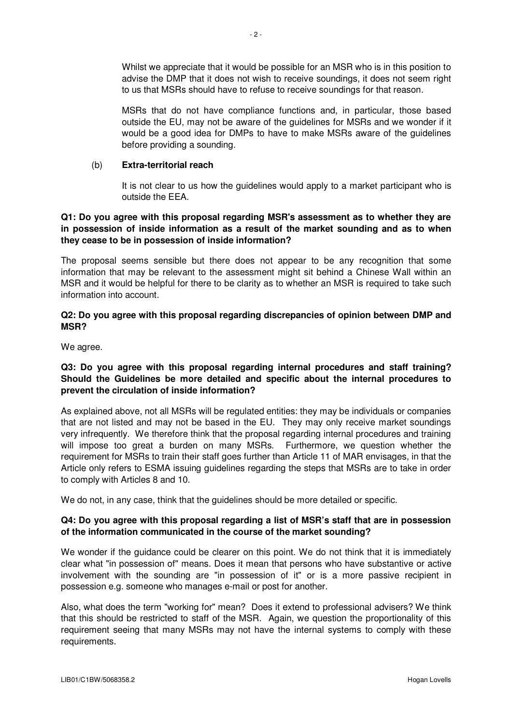Whilst we appreciate that it would be possible for an MSR who is in this position to advise the DMP that it does not wish to receive soundings, it does not seem right to us that MSRs should have to refuse to receive soundings for that reason.

MSRs that do not have compliance functions and, in particular, those based outside the EU, may not be aware of the guidelines for MSRs and we wonder if it would be a good idea for DMPs to have to make MSRs aware of the guidelines before providing a sounding.

### (b) **Extra-territorial reach**

It is not clear to us how the guidelines would apply to a market participant who is outside the EEA.

## **Q1: Do you agree with this proposal regarding MSR's assessment as to whether they are in possession of inside information as a result of the market sounding and as to when they cease to be in possession of inside information?**

The proposal seems sensible but there does not appear to be any recognition that some information that may be relevant to the assessment might sit behind a Chinese Wall within an MSR and it would be helpful for there to be clarity as to whether an MSR is required to take such information into account.

### **Q2: Do you agree with this proposal regarding discrepancies of opinion between DMP and MSR?**

We agree.

## **Q3: Do you agree with this proposal regarding internal procedures and staff training? Should the Guidelines be more detailed and specific about the internal procedures to prevent the circulation of inside information?**

As explained above, not all MSRs will be regulated entities: they may be individuals or companies that are not listed and may not be based in the EU. They may only receive market soundings very infrequently. We therefore think that the proposal regarding internal procedures and training will impose too great a burden on many MSRs. Furthermore, we question whether the requirement for MSRs to train their staff goes further than Article 11 of MAR envisages, in that the Article only refers to ESMA issuing guidelines regarding the steps that MSRs are to take in order to comply with Articles 8 and 10.

We do not, in any case, think that the guidelines should be more detailed or specific.

# **Q4: Do you agree with this proposal regarding a list of MSR's staff that are in possession of the information communicated in the course of the market sounding?**

We wonder if the quidance could be clearer on this point. We do not think that it is immediately clear what "in possession of" means. Does it mean that persons who have substantive or active involvement with the sounding are "in possession of it" or is a more passive recipient in possession e.g. someone who manages e-mail or post for another.

Also, what does the term "working for" mean? Does it extend to professional advisers? We think that this should be restricted to staff of the MSR. Again, we question the proportionality of this requirement seeing that many MSRs may not have the internal systems to comply with these requirements.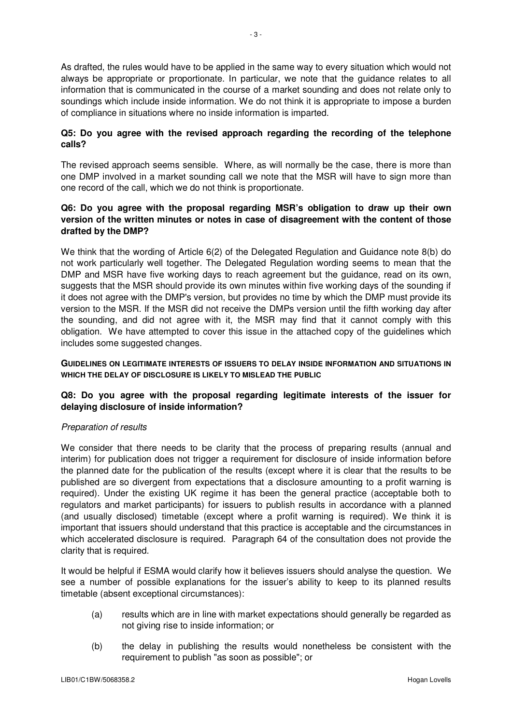As drafted, the rules would have to be applied in the same way to every situation which would not always be appropriate or proportionate. In particular, we note that the guidance relates to all information that is communicated in the course of a market sounding and does not relate only to soundings which include inside information. We do not think it is appropriate to impose a burden of compliance in situations where no inside information is imparted.

# **Q5: Do you agree with the revised approach regarding the recording of the telephone calls?**

The revised approach seems sensible. Where, as will normally be the case, there is more than one DMP involved in a market sounding call we note that the MSR will have to sign more than one record of the call, which we do not think is proportionate.

## **Q6: Do you agree with the proposal regarding MSR's obligation to draw up their own version of the written minutes or notes in case of disagreement with the content of those drafted by the DMP?**

We think that the wording of Article 6(2) of the Delegated Regulation and Guidance note 8(b) do not work particularly well together. The Delegated Regulation wording seems to mean that the DMP and MSR have five working days to reach agreement but the guidance, read on its own, suggests that the MSR should provide its own minutes within five working days of the sounding if it does not agree with the DMP's version, but provides no time by which the DMP must provide its version to the MSR. If the MSR did not receive the DMPs version until the fifth working day after the sounding, and did not agree with it, the MSR may find that it cannot comply with this obligation. We have attempted to cover this issue in the attached copy of the guidelines which includes some suggested changes.

**GUIDELINES ON LEGITIMATE INTERESTS OF ISSUERS TO DELAY INSIDE INFORMATION AND SITUATIONS IN WHICH THE DELAY OF DISCLOSURE IS LIKELY TO MISLEAD THE PUBLIC**

# **Q8: Do you agree with the proposal regarding legitimate interests of the issuer for delaying disclosure of inside information?**

# Preparation of results

We consider that there needs to be clarity that the process of preparing results (annual and interim) for publication does not trigger a requirement for disclosure of inside information before the planned date for the publication of the results (except where it is clear that the results to be published are so divergent from expectations that a disclosure amounting to a profit warning is required). Under the existing UK regime it has been the general practice (acceptable both to regulators and market participants) for issuers to publish results in accordance with a planned (and usually disclosed) timetable (except where a profit warning is required). We think it is important that issuers should understand that this practice is acceptable and the circumstances in which accelerated disclosure is required. Paragraph 64 of the consultation does not provide the clarity that is required.

It would be helpful if ESMA would clarify how it believes issuers should analyse the question. We see a number of possible explanations for the issuer's ability to keep to its planned results timetable (absent exceptional circumstances):

- (a) results which are in line with market expectations should generally be regarded as not giving rise to inside information; or
- (b) the delay in publishing the results would nonetheless be consistent with the requirement to publish "as soon as possible"; or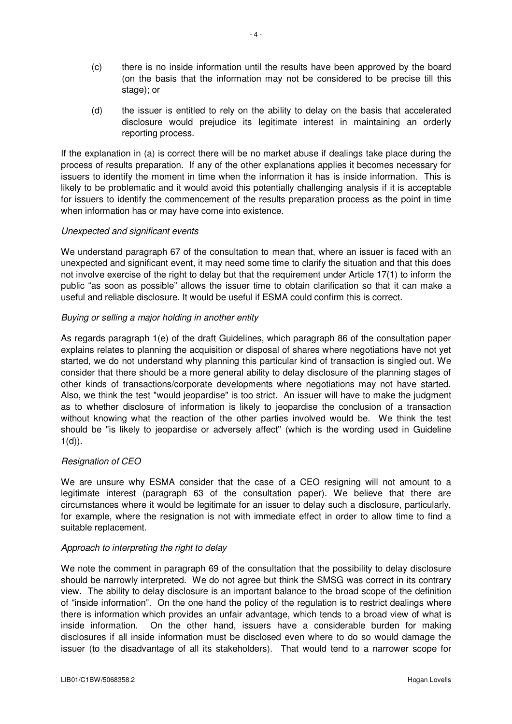- (c) there is no inside information until the results have been approved by the board (on the basis that the information may not be considered to be precise till this stage); or
- (d) the issuer is entitled to rely on the ability to delay on the basis that accelerated disclosure would prejudice its legitimate interest in maintaining an orderly reporting process.

If the explanation in (a) is correct there will be no market abuse if dealings take place during the process of results preparation. If any of the other explanations applies it becomes necessary for issuers to identify the moment in time when the information it has is inside information. This is likely to be problematic and it would avoid this potentially challenging analysis if it is acceptable for issuers to identify the commencement of the results preparation process as the point in time when information has or may have come into existence.

#### Unexpected and significant events

We understand paragraph 67 of the consultation to mean that, where an issuer is faced with an unexpected and significant event, it may need some time to clarify the situation and that this does not involve exercise of the right to delay but that the requirement under Article 17(1) to inform the public "as soon as possible" allows the issuer time to obtain clarification so that it can make a useful and reliable disclosure. It would be useful if ESMA could confirm this is correct.

## Buying or selling a major holding in another entity

As regards paragraph 1(e) of the draft Guidelines, which paragraph 86 of the consultation paper explains relates to planning the acquisition or disposal of shares where negotiations have not yet started, we do not understand why planning this particular kind of transaction is singled out. We consider that there should be a more general ability to delay disclosure of the planning stages of other kinds of transactions/corporate developments where negotiations may not have started. Also, we think the test "would jeopardise" is too strict. An issuer will have to make the judgment as to whether disclosure of information is likely to jeopardise the conclusion of a transaction without knowing what the reaction of the other parties involved would be. We think the test should be "is likely to jeopardise or adversely affect" (which is the wording used in Guideline  $1(d)$ ).

# Resignation of CEO

We are unsure why ESMA consider that the case of a CEO resigning will not amount to a legitimate interest (paragraph 63 of the consultation paper). We believe that there are circumstances where it would be legitimate for an issuer to delay such a disclosure, particularly, for example, where the resignation is not with immediate effect in order to allow time to find a suitable replacement.

#### Approach to interpreting the right to delay

We note the comment in paragraph 69 of the consultation that the possibility to delay disclosure should be narrowly interpreted. We do not agree but think the SMSG was correct in its contrary view. The ability to delay disclosure is an important balance to the broad scope of the definition of "inside information". On the one hand the policy of the regulation is to restrict dealings where there is information which provides an unfair advantage, which tends to a broad view of what is inside information. On the other hand, issuers have a considerable burden for making disclosures if all inside information must be disclosed even where to do so would damage the issuer (to the disadvantage of all its stakeholders). That would tend to a narrower scope for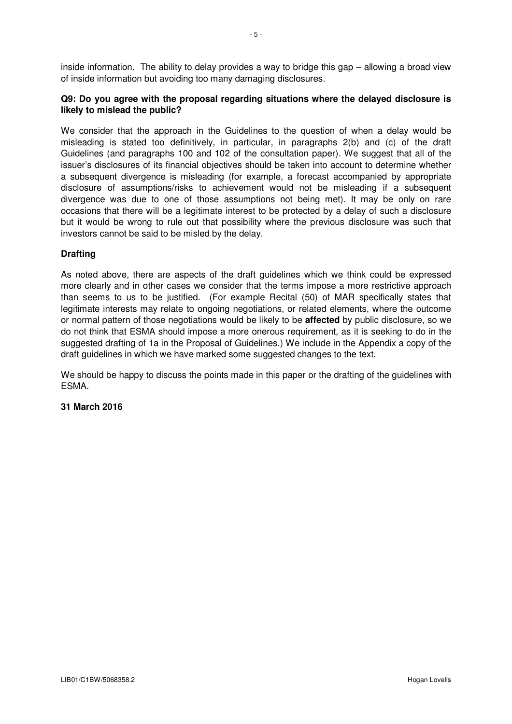inside information. The ability to delay provides a way to bridge this gap – allowing a broad view of inside information but avoiding too many damaging disclosures.

## **Q9: Do you agree with the proposal regarding situations where the delayed disclosure is likely to mislead the public?**

We consider that the approach in the Guidelines to the question of when a delay would be misleading is stated too definitively, in particular, in paragraphs 2(b) and (c) of the draft Guidelines (and paragraphs 100 and 102 of the consultation paper). We suggest that all of the issuer's disclosures of its financial objectives should be taken into account to determine whether a subsequent divergence is misleading (for example, a forecast accompanied by appropriate disclosure of assumptions/risks to achievement would not be misleading if a subsequent divergence was due to one of those assumptions not being met). It may be only on rare occasions that there will be a legitimate interest to be protected by a delay of such a disclosure but it would be wrong to rule out that possibility where the previous disclosure was such that investors cannot be said to be misled by the delay.

## **Drafting**

As noted above, there are aspects of the draft guidelines which we think could be expressed more clearly and in other cases we consider that the terms impose a more restrictive approach than seems to us to be justified. (For example Recital (50) of MAR specifically states that legitimate interests may relate to ongoing negotiations, or related elements, where the outcome or normal pattern of those negotiations would be likely to be **affected** by public disclosure, so we do not think that ESMA should impose a more onerous requirement, as it is seeking to do in the suggested drafting of 1a in the Proposal of Guidelines.) We include in the Appendix a copy of the draft guidelines in which we have marked some suggested changes to the text.

We should be happy to discuss the points made in this paper or the drafting of the quidelines with ESMA.

#### **31 March 2016**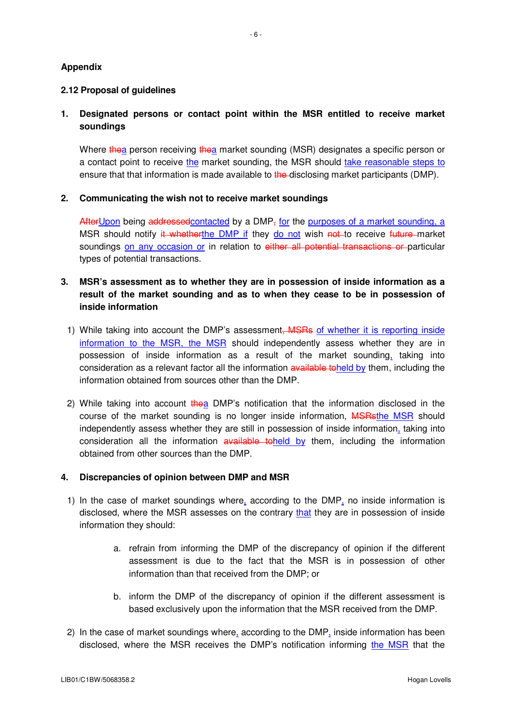## **Appendix**

### **2.12 Proposal of guidelines**

# **1. Designated persons or contact point within the MSR entitled to receive market soundings**

Where thea person receiving thea market sounding (MSR) designates a specific person or a contact point to receive the market sounding, the MSR should take reasonable steps to ensure that that information is made available to the disclosing market participants (DMP).

## **2. Communicating the wish not to receive market soundings**

After Upon being addressed contacted by a DMP<sub> $<sub>5</sub>$  for the purposes of a market sounding, a</sub></sub> MSR should notify it whetherthe DMP if they do not wish not to receive future market soundings on any occasion or in relation to either all potential transactions or particular types of potential transactions.

# **3. MSR's assessment as to whether they are in possession of inside information as a result of the market sounding and as to when they cease to be in possession of inside information**

- 1) While taking into account the DMP's assessment, MSRs of whether it is reporting inside information to the MSR, the MSR should independently assess whether they are in possession of inside information as a result of the market sounding, taking into consideration as a relevant factor all the information available toheld by them, including the information obtained from sources other than the DMP.
- 2) While taking into account  $t$  hea DMP's notification that the information disclosed in the course of the market sounding is no longer inside information, MSRsthe MSR should independently assess whether they are still in possession of inside information, taking into consideration all the information available toheld by them, including the information obtained from other sources than the DMP.

#### **4. Discrepancies of opinion between DMP and MSR**

- 1) In the case of market soundings where, according to the DMP, no inside information is disclosed, where the MSR assesses on the contrary that they are in possession of inside information they should:
	- a. refrain from informing the DMP of the discrepancy of opinion if the different assessment is due to the fact that the MSR is in possession of other information than that received from the DMP; or
	- b. inform the DMP of the discrepancy of opinion if the different assessment is based exclusively upon the information that the MSR received from the DMP.
- 2) In the case of market soundings where, according to the DMP, inside information has been disclosed, where the MSR receives the DMP's notification informing the MSR that the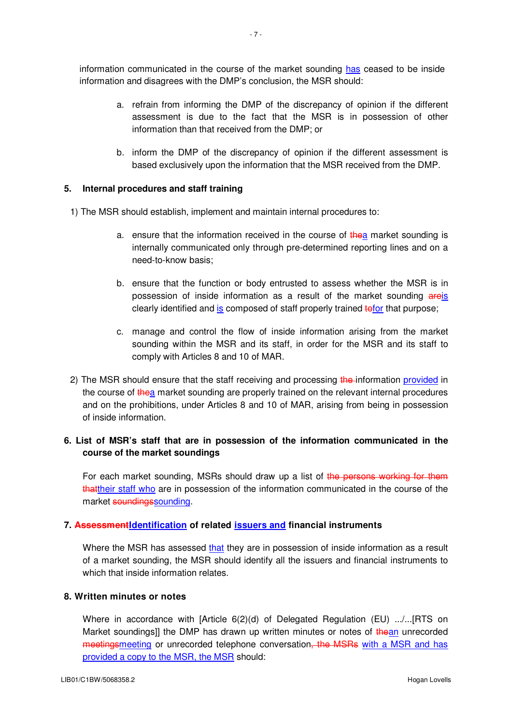information communicated in the course of the market sounding has ceased to be inside information and disagrees with the DMP's conclusion, the MSR should:

- a. refrain from informing the DMP of the discrepancy of opinion if the different assessment is due to the fact that the MSR is in possession of other information than that received from the DMP; or
- b. inform the DMP of the discrepancy of opinion if the different assessment is based exclusively upon the information that the MSR received from the DMP.

#### **5. Internal procedures and staff training**

1) The MSR should establish, implement and maintain internal procedures to:

- a. ensure that the information received in the course of thea market sounding is internally communicated only through pre-determined reporting lines and on a need-to-know basis;
- b. ensure that the function or body entrusted to assess whether the MSR is in possession of inside information as a result of the market sounding areis clearly identified and is composed of staff properly trained to that purpose;
- c. manage and control the flow of inside information arising from the market sounding within the MSR and its staff, in order for the MSR and its staff to comply with Articles 8 and 10 of MAR.
- 2) The MSR should ensure that the staff receiving and processing the information provided in the course of thea market sounding are properly trained on the relevant internal procedures and on the prohibitions, under Articles 8 and 10 of MAR, arising from being in possession of inside information.

# **6. List of MSR's staff that are in possession of the information communicated in the course of the market soundings**

For each market sounding, MSRs should draw up a list of the persons working for them thattheir staff who are in possession of the information communicated in the course of the market soundingssounding.

#### **7. AssessmentIdentification of related issuers and financial instruments**

Where the MSR has assessed that they are in possession of inside information as a result of a market sounding, the MSR should identify all the issuers and financial instruments to which that inside information relates.

#### **8. Written minutes or notes**

Where in accordance with [Article 6(2)(d) of Delegated Regulation (EU) .../...[RTS on Market soundings]] the DMP has drawn up written minutes or notes of thean unrecorded meetingsmeeting or unrecorded telephone conversation, the MSRs with a MSR and has provided a copy to the MSR, the MSR should: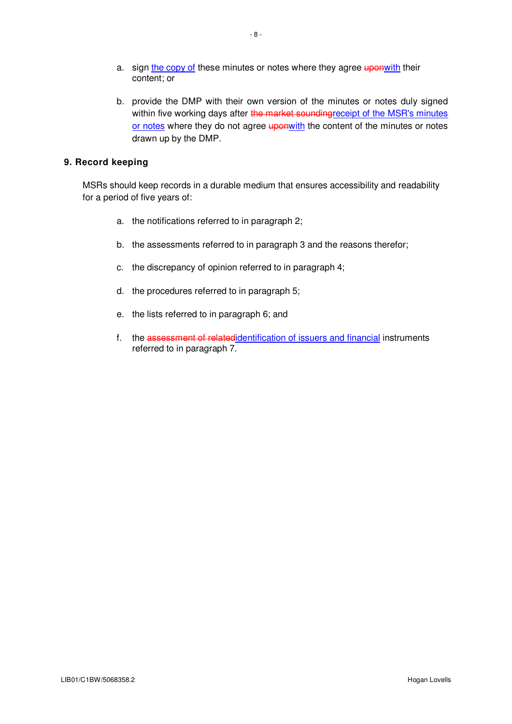- a. sign the copy of these minutes or notes where they agree uponwith their content; or
- b. provide the DMP with their own version of the minutes or notes duly signed within five working days after the market sounding receipt of the MSR's minutes or notes where they do not agree **uponwith** the content of the minutes or notes drawn up by the DMP.

## **9. Record keeping**

MSRs should keep records in a durable medium that ensures accessibility and readability for a period of five years of:

- a. the notifications referred to in paragraph 2;
- b. the assessments referred to in paragraph 3 and the reasons therefor;
- c. the discrepancy of opinion referred to in paragraph 4;
- d. the procedures referred to in paragraph 5;
- e. the lists referred to in paragraph 6; and
- f. the assessment of relatedidentification of issuers and financial instruments referred to in paragraph 7.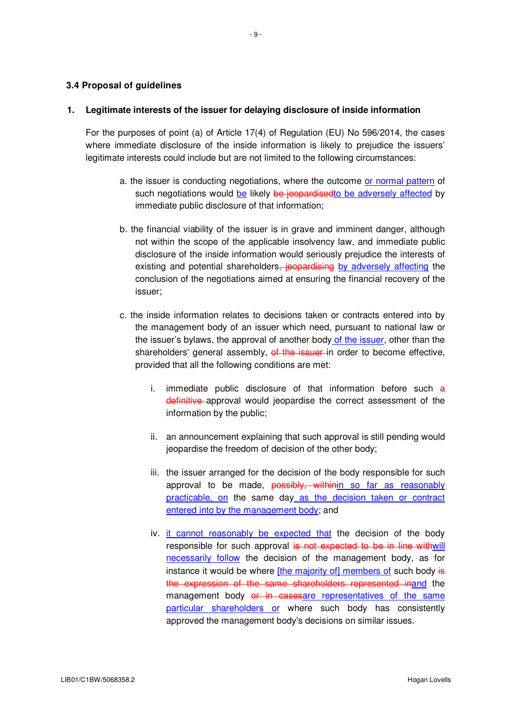### **3.4 Proposal of guidelines**

#### **1. Legitimate interests of the issuer for delaying disclosure of inside information**

For the purposes of point (a) of Article 17(4) of Regulation (EU) No 596/2014, the cases where immediate disclosure of the inside information is likely to prejudice the issuers' legitimate interests could include but are not limited to the following circumstances:

- a. the issuer is conducting negotiations, where the outcome or normal pattern of such negotiations would be likely be jeopardised to be adversely affected by immediate public disclosure of that information;
- b. the financial viability of the issuer is in grave and imminent danger, although not within the scope of the applicable insolvency law, and immediate public disclosure of the inside information would seriously prejudice the interests of existing and potential shareholders, jeopardising by adversely affecting the conclusion of the negotiations aimed at ensuring the financial recovery of the issuer;
- c. the inside information relates to decisions taken or contracts entered into by the management body of an issuer which need, pursuant to national law or the issuer's bylaws, the approval of another body of the issuer, other than the shareholders' general assembly, of the issuer in order to become effective, provided that all the following conditions are met:
	- i. immediate public disclosure of that information before such a definitive approval would jeopardise the correct assessment of the information by the public;
	- ii. an announcement explaining that such approval is still pending would jeopardise the freedom of decision of the other body;
	- iii. the issuer arranged for the decision of the body responsible for such approval to be made, possibly, within in so far as reasonably practicable, on the same day as the decision taken or contract entered into by the management body; and
	- iv. it cannot reasonably be expected that the decision of the body responsible for such approval is not expected to be in line withwill necessarily follow the decision of the management body, as for instance it would be where [the majority of] members of such body is the expression of the same shareholders represented inand the management body or in casesare representatives of the same particular shareholders or where such body has consistently approved the management body's decisions on similar issues.